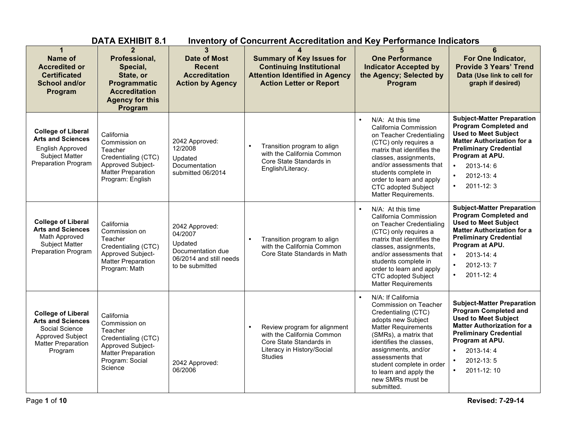|                                                                                                                                  | <b>DATA EXHIBIT 8.1</b>                                                                                                                |                                                                                                         | <b>Inventory of Concurrent Accreditation and Key Performance Indicators</b>                                                                        |                                                                                                                                                                                                                                                                                                          |                                                                                                                                                                                                                                                                         |
|----------------------------------------------------------------------------------------------------------------------------------|----------------------------------------------------------------------------------------------------------------------------------------|---------------------------------------------------------------------------------------------------------|----------------------------------------------------------------------------------------------------------------------------------------------------|----------------------------------------------------------------------------------------------------------------------------------------------------------------------------------------------------------------------------------------------------------------------------------------------------------|-------------------------------------------------------------------------------------------------------------------------------------------------------------------------------------------------------------------------------------------------------------------------|
| <b>Name of</b><br><b>Accredited or</b><br><b>Certificated</b><br><b>School and/or</b><br>Program                                 | Professional,<br>Special,<br>State, or<br>Programmatic<br><b>Accreditation</b><br><b>Agency for this</b><br>Program                    | 3<br><b>Date of Most</b><br><b>Recent</b><br><b>Accreditation</b><br><b>Action by Agency</b>            | <b>Summary of Key Issues for</b><br><b>Continuing Institutional</b><br><b>Attention Identified in Agency</b><br><b>Action Letter or Report</b>     | <b>One Performance</b><br><b>Indicator Accepted by</b><br>the Agency; Selected by<br>Program                                                                                                                                                                                                             | 6<br>For One Indicator,<br><b>Provide 3 Years' Trend</b><br>Data (Use link to cell for<br>graph if desired)                                                                                                                                                             |
| <b>College of Liberal</b><br><b>Arts and Sciences</b><br><b>English Approved</b><br>Subject Matter<br><b>Preparation Program</b> | California<br>Commission on<br>Teacher<br>Credentialing (CTC)<br>Approved Subject-<br><b>Matter Preparation</b><br>Program: English    | 2042 Approved:<br>12/2008<br>Updated<br>Documentation<br>submitted 06/2014                              | Transition program to align<br>with the California Common<br>Core State Standards in<br>English/Literacy.                                          | N/A: At this time<br>$\bullet$<br>California Commission<br>on Teacher Credentialing<br>(CTC) only requires a<br>matrix that identifies the<br>classes, assignments,<br>and/or assessments that<br>students complete in<br>order to learn and apply<br><b>CTC</b> adopted Subject<br>Matter Requirements. | <b>Subject-Matter Preparation</b><br><b>Program Completed and</b><br><b>Used to Meet Subject</b><br><b>Matter Authorization for a</b><br><b>Preliminary Credential</b><br>Program at APU.<br>2013-14:6<br>$\bullet$<br>$\bullet$<br>2012-13:4<br>$\bullet$<br>2011-12:3 |
| <b>College of Liberal</b><br><b>Arts and Sciences</b><br>Math Approved<br>Subject Matter<br>Preparation Program                  | California<br>Commission on<br>Teacher<br>Credentialing (CTC)<br>Approved Subject-<br><b>Matter Preparation</b><br>Program: Math       | 2042 Approved:<br>04/2007<br>Updated<br>Documentation due<br>06/2014 and still needs<br>to be submitted | Transition program to align<br>$\bullet$<br>with the California Common<br>Core State Standards in Math                                             | N/A: At this time<br>California Commission<br>on Teacher Credentialing<br>(CTC) only requires a<br>matrix that identifies the<br>classes, assignments,<br>and/or assessments that<br>students complete in<br>order to learn and apply<br><b>CTC</b> adopted Subject<br><b>Matter Requirements</b>        | <b>Subject-Matter Preparation</b><br><b>Program Completed and</b><br><b>Used to Meet Subject</b><br><b>Matter Authorization for a</b><br><b>Preliminary Credential</b><br>Program at APU.<br>2013-14:4<br>$\bullet$<br>2012-13:7<br>$\bullet$<br>2011-12:4<br>$\bullet$ |
| <b>College of Liberal</b><br><b>Arts and Sciences</b><br>Social Science<br>Approved Subject<br>Matter Preparation<br>Program     | California<br>Commission on<br>Teacher<br>Credentialing (CTC)<br>Approved Subject-<br>Matter Preparation<br>Program: Social<br>Science | 2042 Approved:<br>06/2006                                                                               | Review program for alignment<br>$\bullet$<br>with the California Common<br>Core State Standards in<br>Literacy in History/Social<br><b>Studies</b> | N/A: If California<br>Commission on Teacher<br>Credentialing (CTC)<br>adopts new Subject<br>Matter Requirements<br>(SMRs), a matrix that<br>identifies the classes,<br>assignments, and/or<br>assessments that<br>student complete in order<br>to learn and apply the<br>new SMRs must be<br>submitted.  | <b>Subject-Matter Preparation</b><br><b>Program Completed and</b><br><b>Used to Meet Subject</b><br><b>Matter Authorization for a</b><br><b>Preliminary Credential</b><br>Program at APU.<br>2013-14:4<br>2012-13:5<br>$\bullet$<br>2011-12:10<br>$\bullet$             |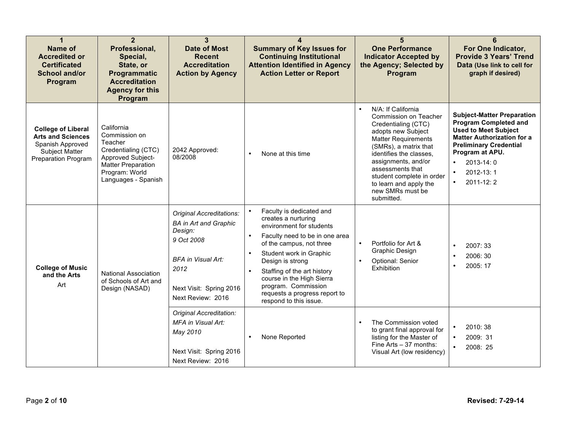| 1<br><b>Name of</b><br><b>Accredited or</b><br><b>Certificated</b><br><b>School and/or</b><br>Program              | $\overline{2}$<br>Professional,<br>Special,<br>State, or<br>Programmatic<br><b>Accreditation</b><br><b>Agency for this</b><br>Program                    | 3<br><b>Date of Most</b><br>Recent<br><b>Accreditation</b><br><b>Action by Agency</b>                                                                           | <b>Summary of Key Issues for</b><br><b>Continuing Institutional</b><br><b>Attention Identified in Agency</b><br><b>Action Letter or Report</b>                                                                                                                                                                                                                                             | <b>One Performance</b><br><b>Indicator Accepted by</b><br>the Agency; Selected by<br>Program                                                                                                                                                                                                                   | For One Indicator,<br><b>Provide 3 Years' Trend</b><br>Data (Use link to cell for<br>graph if desired)                                                                                                                                        |
|--------------------------------------------------------------------------------------------------------------------|----------------------------------------------------------------------------------------------------------------------------------------------------------|-----------------------------------------------------------------------------------------------------------------------------------------------------------------|--------------------------------------------------------------------------------------------------------------------------------------------------------------------------------------------------------------------------------------------------------------------------------------------------------------------------------------------------------------------------------------------|----------------------------------------------------------------------------------------------------------------------------------------------------------------------------------------------------------------------------------------------------------------------------------------------------------------|-----------------------------------------------------------------------------------------------------------------------------------------------------------------------------------------------------------------------------------------------|
| <b>College of Liberal</b><br><b>Arts and Sciences</b><br>Spanish Approved<br>Subject Matter<br>Preparation Program | California<br>Commission on<br>Teacher<br>Credentialing (CTC)<br>Approved Subject-<br><b>Matter Preparation</b><br>Program: World<br>Languages - Spanish | 2042 Approved:<br>08/2008                                                                                                                                       | None at this time                                                                                                                                                                                                                                                                                                                                                                          | N/A: If California<br>Commission on Teacher<br>Credentialing (CTC)<br>adopts new Subject<br><b>Matter Requirements</b><br>(SMRs), a matrix that<br>identifies the classes,<br>assignments, and/or<br>assessments that<br>student complete in order<br>to learn and apply the<br>new SMRs must be<br>submitted. | <b>Subject-Matter Preparation</b><br><b>Program Completed and</b><br><b>Used to Meet Subject</b><br><b>Matter Authorization for a</b><br><b>Preliminary Credential</b><br>Program at APU.<br>2013-14:0<br>2012-13:1<br>2011-12:2<br>$\bullet$ |
| <b>College of Music</b><br>and the Arts<br>Art                                                                     | <b>National Association</b><br>of Schools of Art and<br>Design (NASAD)                                                                                   | Original Accreditations:<br><b>BA</b> in Art and Graphic<br>Design:<br>9 Oct 2008<br>BFA in Visual Art:<br>2012<br>Next Visit: Spring 2016<br>Next Review: 2016 | Faculty is dedicated and<br>$\bullet$<br>creates a nurturing<br>environment for students<br>Faculty need to be in one area<br>$\bullet$<br>of the campus, not three<br>Student work in Graphic<br>$\bullet$<br>Design is strong<br>Staffing of the art history<br>$\bullet$<br>course in the High Sierra<br>program. Commission<br>requests a progress report to<br>respond to this issue. | Portfolio for Art &<br>$\bullet$<br>Graphic Design<br>Optional: Senior<br>$\bullet$<br>Exhibition                                                                                                                                                                                                              | 2007: 33<br>2006: 30<br>2005: 17                                                                                                                                                                                                              |
|                                                                                                                    |                                                                                                                                                          | Original Accreditation:<br>MFA in Visual Art:<br>May 2010<br>Next Visit: Spring 2016<br>Next Review: 2016                                                       | None Reported<br>$\bullet$                                                                                                                                                                                                                                                                                                                                                                 | The Commission voted<br>$\bullet$<br>to grant final approval for<br>listing for the Master of<br>Fine Arts - 37 months:<br>Visual Art (low residency)                                                                                                                                                          | 2010: 38<br>2009: 31<br>$\bullet$<br>2008: 25                                                                                                                                                                                                 |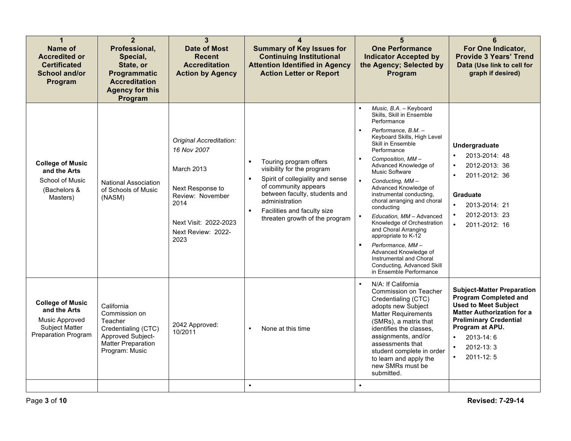| $\mathbf 1$<br><b>Name of</b><br><b>Accredited or</b><br><b>Certificated</b><br><b>School and/or</b><br>Program  | $\overline{2}$<br>Professional,<br>Special,<br>State, or<br>Programmatic<br><b>Accreditation</b><br><b>Agency for this</b><br>Program | $\mathbf{3}$<br><b>Date of Most</b><br><b>Recent</b><br><b>Accreditation</b><br><b>Action by Agency</b>                                                     | $\boldsymbol{\Lambda}$<br><b>Summary of Key Issues for</b><br><b>Continuing Institutional</b><br><b>Attention Identified in Agency</b><br><b>Action Letter or Report</b>                                                                                                                   | 5<br><b>One Performance</b><br><b>Indicator Accepted by</b><br>the Agency; Selected by<br>Program                                                                                                                                                                                                                                                                                                                                                                                                                                                                                                            | 6<br>For One Indicator,<br><b>Provide 3 Years' Trend</b><br>Data (Use link to cell for<br>graph if desired)                                                                                                                                                    |
|------------------------------------------------------------------------------------------------------------------|---------------------------------------------------------------------------------------------------------------------------------------|-------------------------------------------------------------------------------------------------------------------------------------------------------------|--------------------------------------------------------------------------------------------------------------------------------------------------------------------------------------------------------------------------------------------------------------------------------------------|--------------------------------------------------------------------------------------------------------------------------------------------------------------------------------------------------------------------------------------------------------------------------------------------------------------------------------------------------------------------------------------------------------------------------------------------------------------------------------------------------------------------------------------------------------------------------------------------------------------|----------------------------------------------------------------------------------------------------------------------------------------------------------------------------------------------------------------------------------------------------------------|
| <b>College of Music</b><br>and the Arts<br>School of Music<br>(Bachelors &<br>Masters)                           | <b>National Association</b><br>of Schools of Music<br>(NASM)                                                                          | Original Accreditation:<br>16 Nov 2007<br>March 2013<br>Next Response to<br>Review: November<br>2014<br>Next Visit: 2022-2023<br>Next Review: 2022-<br>2023 | Touring program offers<br>$\blacksquare$<br>visibility for the program<br>Spirit of collegiality and sense<br>$\blacksquare$<br>of community appears<br>between faculty, students and<br>administration<br>Facilities and faculty size<br>$\blacksquare$<br>threaten growth of the program | Music, B.A. - Keyboard<br>Skills, Skill in Ensemble<br>Performance<br>Performance, B.M. -<br>Keyboard Skills, High Level<br>Skill in Ensemble<br>Performance<br>Composition, MM-<br>Advanced Knowledge of<br>Music Software<br>$\blacksquare$<br>Conducting, MM-<br>Advanced Knowledge of<br>instrumental conducting,<br>choral arranging and choral<br>conducting<br>Education, MM - Advanced<br>Knowledge of Orchestration<br>and Choral Arranging<br>appropriate to K-12<br>Performance, MM-<br>Advanced Knowledge of<br>Instrumental and Choral<br>Conducting, Advanced Skill<br>in Ensemble Performance | Undergraduate<br>2013-2014: 48<br>$\bullet$<br>2012-2013: 36<br>2011-2012: 36<br><b>Graduate</b><br>$\bullet$<br>2013-2014: 21<br>2012-2013: 23<br>$\bullet$<br>$\bullet$<br>2011-2012: 16                                                                     |
| <b>College of Music</b><br>and the Arts<br>Music Approved<br><b>Subject Matter</b><br><b>Preparation Program</b> | California<br>Commission on<br>Teacher<br>Credentialing (CTC)<br>Approved Subject-<br><b>Matter Preparation</b><br>Program: Music     | 2042 Approved:<br>10/2011                                                                                                                                   | None at this time<br>$\bullet$<br>$\bullet$                                                                                                                                                                                                                                                | N/A: If California<br>$\bullet$<br>Commission on Teacher<br>Credentialing (CTC)<br>adopts new Subject<br><b>Matter Requirements</b><br>(SMRs), a matrix that<br>identifies the classes,<br>assignments, and/or<br>assessments that<br>student complete in order<br>to learn and apply the<br>new SMRs must be<br>submitted.<br>$\bullet$                                                                                                                                                                                                                                                                     | <b>Subject-Matter Preparation</b><br><b>Program Completed and</b><br><b>Used to Meet Subject</b><br><b>Matter Authorization for a</b><br><b>Preliminary Credential</b><br>Program at APU.<br>2013-14:6<br>$\bullet$<br>$2012 - 13:3$<br>2011-12:5<br>$\bullet$ |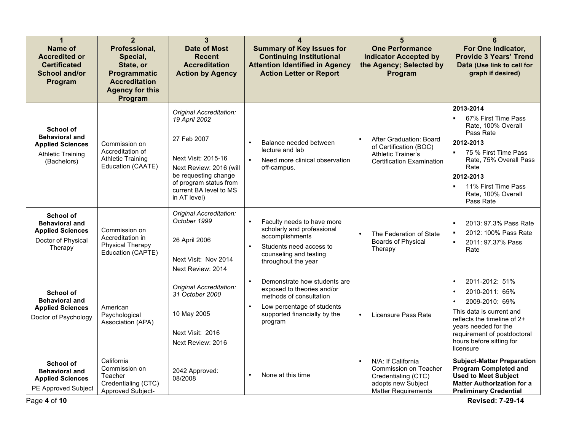| 1<br>Name of<br><b>Accredited or</b><br><b>Certificated</b><br><b>School and/or</b><br>Program           | $\overline{2}$<br>Professional,<br>Special,<br>State, or<br>Programmatic<br><b>Accreditation</b><br><b>Agency for this</b><br>Program | 3<br><b>Date of Most</b><br><b>Recent</b><br><b>Accreditation</b><br><b>Action by Agency</b>                                                                                                          | <b>Summary of Key Issues for</b><br><b>Continuing Institutional</b><br><b>Attention Identified in Agency</b><br><b>Action Letter or Report</b>                       | 5<br><b>One Performance</b><br><b>Indicator Accepted by</b><br>the Agency; Selected by<br>Program                      | 6<br>For One Indicator,<br><b>Provide 3 Years' Trend</b><br>Data (Use link to cell for<br>graph if desired)                                                                                                                                            |
|----------------------------------------------------------------------------------------------------------|---------------------------------------------------------------------------------------------------------------------------------------|-------------------------------------------------------------------------------------------------------------------------------------------------------------------------------------------------------|----------------------------------------------------------------------------------------------------------------------------------------------------------------------|------------------------------------------------------------------------------------------------------------------------|--------------------------------------------------------------------------------------------------------------------------------------------------------------------------------------------------------------------------------------------------------|
| School of<br><b>Behavioral and</b><br><b>Applied Sciences</b><br><b>Athletic Training</b><br>(Bachelors) | Commission on<br>Accreditation of<br><b>Athletic Training</b><br>Education (CAATE)                                                    | Original Accreditation:<br>19 April 2002<br>27 Feb 2007<br>Next Visit: 2015-16<br>Next Review: 2016 (will<br>be requesting change<br>of program status from<br>current BA level to MS<br>in AT level) | Balance needed between<br>lecture and lab<br>Need more clinical observation<br>off-campus.                                                                           | After Graduation: Board<br>of Certification (BOC)<br><b>Athletic Trainer's</b><br><b>Certification Examination</b>     | 2013-2014<br>67% First Time Pass<br>Rate, 100% Overall<br>Pass Rate<br>2012-2013<br>75 % First Time Pass<br>$\blacksquare$<br>Rate, 75% Overall Pass<br>Rate<br>2012-2013<br>11% First Time Pass<br>Rate, 100% Overall<br>Pass Rate                    |
| School of<br><b>Behavioral and</b><br><b>Applied Sciences</b><br>Doctor of Physical<br>Therapy           | Commission on<br>Accreditation in<br>Physical Therapy<br>Education (CAPTE)                                                            | Original Accreditation:<br>October 1999<br>26 April 2006<br>Next Visit: Nov 2014<br>Next Review: 2014                                                                                                 | $\bullet$<br>Faculty needs to have more<br>scholarly and professional<br>accomplishments<br>Students need access to<br>counseling and testing<br>throughout the year | The Federation of State<br>$\bullet$<br><b>Boards of Physical</b><br>Therapy                                           | 2013: 97.3% Pass Rate<br>2012: 100% Pass Rate<br>$\blacksquare$<br>2011: 97.37% Pass<br>$\blacksquare$<br>Rate                                                                                                                                         |
| <b>School of</b><br><b>Behavioral and</b><br><b>Applied Sciences</b><br>Doctor of Psychology             | American<br>Psychological<br>Association (APA)                                                                                        | Original Accreditation:<br>31 October 2000<br>10 May 2005<br>Next Visit: 2016<br>Next Review: 2016                                                                                                    | Demonstrate how students are<br>exposed to theories and/or<br>methods of consultation<br>Low percentage of students<br>supported financially by the<br>program       | Licensure Pass Rate<br>$\bullet$                                                                                       | 2011-2012: 51%<br>$\bullet$<br>2010-2011: 65%<br>$\bullet$<br>2009-2010: 69%<br>$\bullet$<br>This data is current and<br>reflects the timeline of $2+$<br>years needed for the<br>requirement of postdoctoral<br>hours before sitting for<br>licensure |
| School of<br><b>Behavioral and</b><br><b>Applied Sciences</b><br>PE Approved Subject<br>Page 4 of 10     | California<br>Commission on<br>Teacher<br>Credentialing (CTC)<br>Approved Subject-                                                    | 2042 Approved:<br>08/2008                                                                                                                                                                             | $\bullet$<br>None at this time                                                                                                                                       | N/A: If California<br>Commission on Teacher<br>Credentialing (CTC)<br>adopts new Subject<br><b>Matter Requirements</b> | <b>Subject-Matter Preparation</b><br><b>Program Completed and</b><br><b>Used to Meet Subject</b><br><b>Matter Authorization for a</b><br><b>Preliminary Credential</b><br><b>Revised: 7-29-14</b>                                                      |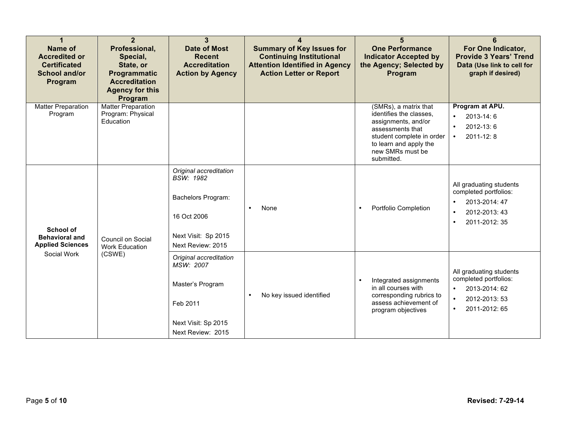| Name of<br><b>Accredited or</b><br><b>Certificated</b><br><b>School and/or</b><br>Program | $\overline{2}$<br>Professional,<br>Special,<br>State, or<br>Programmatic<br><b>Accreditation</b><br><b>Agency for this</b><br>Program | $\overline{3}$<br><b>Date of Most</b><br><b>Recent</b><br><b>Accreditation</b><br><b>Action by Agency</b>                   | <b>Summary of Key Issues for</b><br><b>Continuing Institutional</b><br><b>Attention Identified in Agency</b><br><b>Action Letter or Report</b> | 5<br><b>One Performance</b><br><b>Indicator Accepted by</b><br>the Agency; Selected by<br>Program                                                                                    | 6<br>For One Indicator,<br><b>Provide 3 Years' Trend</b><br>Data (Use link to cell for<br>graph if desired)                                |
|-------------------------------------------------------------------------------------------|---------------------------------------------------------------------------------------------------------------------------------------|-----------------------------------------------------------------------------------------------------------------------------|------------------------------------------------------------------------------------------------------------------------------------------------|--------------------------------------------------------------------------------------------------------------------------------------------------------------------------------------|--------------------------------------------------------------------------------------------------------------------------------------------|
| <b>Matter Preparation</b><br>Program                                                      | <b>Matter Preparation</b><br>Program: Physical<br>Education                                                                           |                                                                                                                             |                                                                                                                                                | (SMRs), a matrix that<br>identifies the classes,<br>assignments, and/or<br>assessments that<br>student complete in order<br>to learn and apply the<br>new SMRs must be<br>submitted. | Program at APU.<br>2013-14:6<br>$\bullet$<br>2012-13:6<br>$\bullet$<br>2011-12:8<br>$\bullet$                                              |
| School of<br><b>Behavioral and</b><br><b>Applied Sciences</b>                             | Council on Social<br><b>Work Education</b>                                                                                            | Original accreditation<br><b>BSW: 1982</b><br>Bachelors Program:<br>16 Oct 2006<br>Next Visit: Sp 2015<br>Next Review: 2015 | None<br>$\bullet$                                                                                                                              | Portfolio Completion<br>$\bullet$                                                                                                                                                    | All graduating students<br>completed portfolios:<br>2013-2014: 47<br>2012-2013: 43<br>2011-2012: 35                                        |
| Social Work                                                                               | (CSWE)                                                                                                                                | Original accreditation<br>MSW: 2007<br>Master's Program<br>Feb 2011<br>Next Visit: Sp 2015<br>Next Review: 2015             | No key issued identified<br>$\bullet$                                                                                                          | Integrated assignments<br>$\bullet$<br>in all courses with<br>corresponding rubrics to<br>assess achievement of<br>program objectives                                                | All graduating students<br>completed portfolios:<br>2013-2014: 62<br>$\bullet$<br>2012-2013: 53<br>$\bullet$<br>2011-2012: 65<br>$\bullet$ |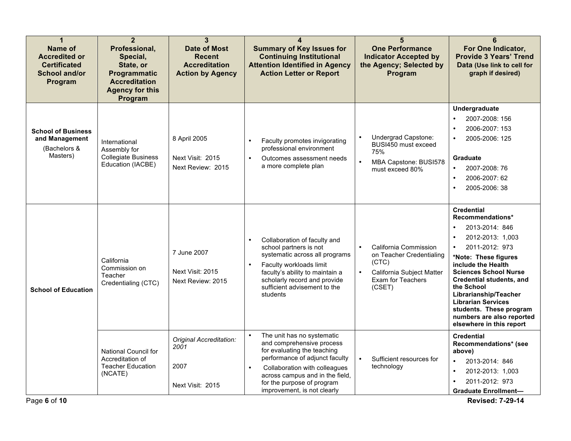| 1<br>Name of<br><b>Accredited or</b><br><b>Certificated</b><br>School and/or<br>Program | $\overline{2}$<br>Professional,<br>Special,<br>State, or<br>Programmatic<br><b>Accreditation</b><br><b>Agency for this</b><br>Program | 3<br><b>Date of Most</b><br><b>Recent</b><br><b>Accreditation</b><br><b>Action by Agency</b> | 4<br><b>Summary of Key Issues for</b><br><b>Continuing Institutional</b><br><b>Attention Identified in Agency</b><br><b>Action Letter or Report</b>                                                                                                                                 | 5<br><b>One Performance</b><br><b>Indicator Accepted by</b><br>the Agency; Selected by<br>Program                       | 6<br>For One Indicator,<br><b>Provide 3 Years' Trend</b><br>Data (Use link to cell for<br>graph if desired)                                                                                                                                                                                                                                                                         |
|-----------------------------------------------------------------------------------------|---------------------------------------------------------------------------------------------------------------------------------------|----------------------------------------------------------------------------------------------|-------------------------------------------------------------------------------------------------------------------------------------------------------------------------------------------------------------------------------------------------------------------------------------|-------------------------------------------------------------------------------------------------------------------------|-------------------------------------------------------------------------------------------------------------------------------------------------------------------------------------------------------------------------------------------------------------------------------------------------------------------------------------------------------------------------------------|
| <b>School of Business</b><br>and Management<br>(Bachelors &<br>Masters)                 | International<br>Assembly for<br><b>Collegiate Business</b><br>Education (IACBE)                                                      | 8 April 2005<br>Next Visit: 2015<br>Next Review: 2015                                        | Faculty promotes invigorating<br>$\bullet$<br>professional environment<br>Outcomes assessment needs<br>$\bullet$<br>a more complete plan                                                                                                                                            | $\bullet$<br>Undergrad Capstone:<br>BUSI450 must exceed<br>75%<br>MBA Capstone: BUSI578<br>$\bullet$<br>must exceed 80% | Undergraduate<br>2007-2008: 156<br>2006-2007: 153<br>2005-2006: 125<br><b>Graduate</b><br>2007-2008: 76<br>$\bullet$<br>2006-2007: 62<br>$\bullet$<br>2005-2006: 38<br>$\bullet$                                                                                                                                                                                                    |
| <b>School of Education</b><br>Page 6 of 10                                              | California<br>Commission on<br>Teacher<br>Credentialing (CTC)                                                                         | 7 June 2007<br>Next Visit: 2015<br>Next Review: 2015                                         | Collaboration of faculty and<br>$\bullet$<br>school partners is not<br>systematic across all programs<br>Faculty workloads limit<br>$\bullet$<br>faculty's ability to maintain a<br>scholarly record and provide<br>sufficient advisement to the<br>students                        | California Commission<br>on Teacher Credentialing<br>(CTC)<br>California Subject Matter<br>Exam for Teachers<br>(CSET)  | <b>Credential</b><br>Recommendations*<br>2013-2014: 846<br>2012-2013: 1,003<br>2011-2012: 973<br>$\bullet$<br>*Note: These figures<br>include the Health<br><b>Sciences School Nurse</b><br><b>Credential students, and</b><br>the School<br>Librarianship/Teacher<br><b>Librarian Services</b><br>students. These program<br>numbers are also reported<br>elsewhere in this report |
|                                                                                         | National Council for<br>Accreditation of<br><b>Teacher Education</b><br>(NCATE)                                                       | Original Accreditation:<br>2001<br>2007<br>Next Visit: 2015                                  | $\bullet$<br>The unit has no systematic<br>and comprehensive process<br>for evaluating the teaching<br>performance of adjunct faculty<br>Collaboration with colleagues<br>$\bullet$<br>across campus and in the field,<br>for the purpose of program<br>improvement, is not clearly | Sufficient resources for<br>technology                                                                                  | <b>Credential</b><br>Recommendations* (see<br>above)<br>2013-2014: 846<br>2012-2013: 1,003<br>$\bullet$<br>2011-2012: 973<br>$\bullet$<br><b>Graduate Enrollment-</b><br><b>Revised: 7-29-14</b>                                                                                                                                                                                    |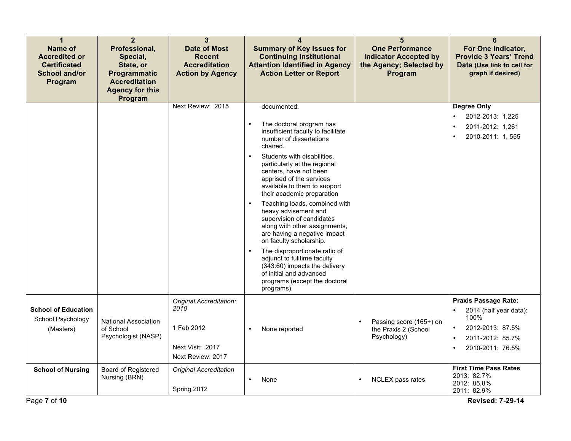| 1<br><b>Name of</b><br><b>Accredited or</b><br><b>Certificated</b><br>School and/or<br>Program | $\overline{2}$<br>Professional,<br>Special,<br>State, or<br>Programmatic<br><b>Accreditation</b><br><b>Agency for this</b><br>Program | 3<br><b>Date of Most</b><br><b>Recent</b><br><b>Accreditation</b><br><b>Action by Agency</b> | $\boldsymbol{\Lambda}$<br><b>Summary of Key Issues for</b><br><b>Continuing Institutional</b><br><b>Attention Identified in Agency</b><br><b>Action Letter or Report</b>                                                                                                                                                                                                                                                                                                                                                                                                                                                                                                          | 5<br><b>One Performance</b><br><b>Indicator Accepted by</b><br>the Agency; Selected by<br>Program | 6<br>For One Indicator,<br><b>Provide 3 Years' Trend</b><br>Data (Use link to cell for<br>graph if desired)               |
|------------------------------------------------------------------------------------------------|---------------------------------------------------------------------------------------------------------------------------------------|----------------------------------------------------------------------------------------------|-----------------------------------------------------------------------------------------------------------------------------------------------------------------------------------------------------------------------------------------------------------------------------------------------------------------------------------------------------------------------------------------------------------------------------------------------------------------------------------------------------------------------------------------------------------------------------------------------------------------------------------------------------------------------------------|---------------------------------------------------------------------------------------------------|---------------------------------------------------------------------------------------------------------------------------|
|                                                                                                |                                                                                                                                       | Next Review: 2015                                                                            | documented.<br>The doctoral program has<br>$\bullet$<br>insufficient faculty to facilitate<br>number of dissertations<br>chaired.<br>Students with disabilities.<br>particularly at the regional<br>centers, have not been<br>apprised of the services<br>available to them to support<br>their academic preparation<br>Teaching loads, combined with<br>heavy advisement and<br>supervision of candidates<br>along with other assignments,<br>are having a negative impact<br>on faculty scholarship.<br>The disproportionate ratio of<br>adjunct to fulltime faculty<br>(343:60) impacts the delivery<br>of initial and advanced<br>programs (except the doctoral<br>programs). |                                                                                                   | <b>Degree Only</b><br>2012-2013: 1,225<br>2011-2012: 1,261<br>2010-2011: 1, 555                                           |
| <b>School of Education</b><br>School Psychology<br>(Masters)                                   | <b>National Association</b><br>of School<br>Psychologist (NASP)                                                                       | Original Accreditation:<br>2010<br>1 Feb 2012<br>Next Visit: 2017<br>Next Review: 2017       | None reported<br>$\bullet$                                                                                                                                                                                                                                                                                                                                                                                                                                                                                                                                                                                                                                                        | Passing score (165+) on<br>the Praxis 2 (School<br>Psychology)                                    | <b>Praxis Passage Rate:</b><br>2014 (half year data):<br>100%<br>2012-2013: 87.5%<br>2011-2012: 85.7%<br>2010-2011: 76.5% |
| <b>School of Nursing</b><br>Page 7 of 10                                                       | Board of Registered<br>Nursing (BRN)                                                                                                  | <b>Original Accreditation</b><br>Spring 2012                                                 | $\bullet$<br>None                                                                                                                                                                                                                                                                                                                                                                                                                                                                                                                                                                                                                                                                 | NCLEX pass rates<br>$\bullet$                                                                     | <b>First Time Pass Rates</b><br>2013: 82.7%<br>2012: 85.8%<br>2011: 82.9%<br><b>Revised: 7-29-14</b>                      |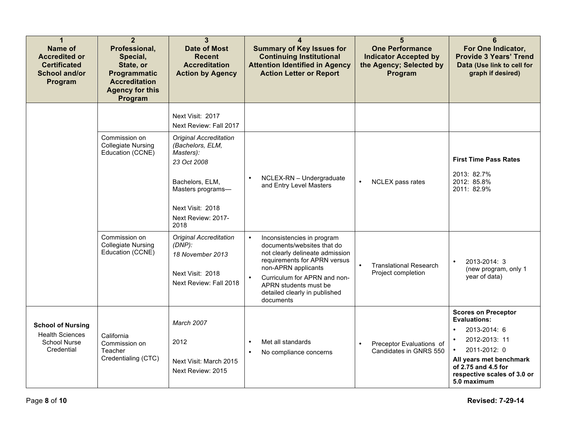| $\blacktriangleleft$<br><b>Name of</b><br><b>Accredited or</b><br><b>Certificated</b><br><b>School and/or</b><br>Program | $\overline{2}$<br>Professional,<br>Special,<br>State, or<br>Programmatic<br><b>Accreditation</b><br><b>Agency for this</b><br>Program | 3<br><b>Date of Most</b><br><b>Recent</b><br><b>Accreditation</b><br><b>Action by Agency</b>                                                                            | $\boldsymbol{\Lambda}$<br><b>Summary of Key Issues for</b><br><b>Continuing Institutional</b><br><b>Attention Identified in Agency</b><br><b>Action Letter or Report</b>                                                                                               | 5<br><b>One Performance</b><br><b>Indicator Accepted by</b><br>the Agency; Selected by<br>Program | 6<br>For One Indicator,<br><b>Provide 3 Years' Trend</b><br>Data (Use link to cell for<br>graph if desired)                                                                                                     |
|--------------------------------------------------------------------------------------------------------------------------|---------------------------------------------------------------------------------------------------------------------------------------|-------------------------------------------------------------------------------------------------------------------------------------------------------------------------|------------------------------------------------------------------------------------------------------------------------------------------------------------------------------------------------------------------------------------------------------------------------|---------------------------------------------------------------------------------------------------|-----------------------------------------------------------------------------------------------------------------------------------------------------------------------------------------------------------------|
|                                                                                                                          |                                                                                                                                       | Next Visit: 2017<br>Next Review: Fall 2017                                                                                                                              |                                                                                                                                                                                                                                                                        |                                                                                                   |                                                                                                                                                                                                                 |
|                                                                                                                          | Commission on<br><b>Collegiate Nursing</b><br>Education (CCNE)                                                                        | <b>Original Accreditation</b><br>(Bachelors, ELM,<br>Masters):<br>23 Oct 2008<br>Bachelors, ELM,<br>Masters programs-<br>Next Visit: 2018<br>Next Review: 2017-<br>2018 | NCLEX-RN - Undergraduate<br>$\bullet$<br>and Entry Level Masters                                                                                                                                                                                                       | $\bullet$<br>NCLEX pass rates                                                                     | <b>First Time Pass Rates</b><br>2013: 82.7%<br>2012: 85.8%<br>2011: 82.9%                                                                                                                                       |
|                                                                                                                          | Commission on<br><b>Collegiate Nursing</b><br>Education (CCNE)                                                                        | <b>Original Accreditation</b><br>$(DNP)$ :<br>18 November 2013<br>Next Visit: 2018<br>Next Review: Fall 2018                                                            | $\bullet$<br>Inconsistencies in program<br>documents/websites that do<br>not clearly delineate admission<br>requirements for APRN versus<br>non-APRN applicants<br>Curriculum for APRN and non-<br>APRN students must be<br>detailed clearly in published<br>documents | <b>Translational Research</b><br>Project completion                                               | 2013-2014: 3<br>$\bullet$<br>(new program, only 1<br>year of data)                                                                                                                                              |
| <b>School of Nursing</b><br><b>Health Sciences</b><br>School Nurse<br>Credential                                         | California<br>Commission on<br>Teacher<br>Credentialing (CTC)                                                                         | <b>March 2007</b><br>2012<br>Next Visit: March 2015<br>Next Review: 2015                                                                                                | Met all standards<br>$\bullet$<br>No compliance concerns<br>$\bullet$                                                                                                                                                                                                  | Preceptor Evaluations of<br>$\bullet$<br>Candidates in GNRS 550                                   | <b>Scores on Preceptor</b><br><b>Evaluations:</b><br>2013-2014: 6<br>2012-2013: 11<br>2011-2012: 0<br>$\bullet$<br>All years met benchmark<br>of 2.75 and 4.5 for<br>respective scales of 3.0 or<br>5.0 maximum |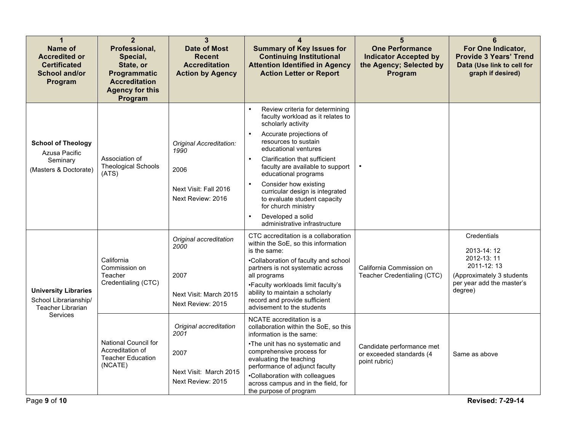| 1<br><b>Name of</b><br><b>Accredited or</b><br><b>Certificated</b><br><b>School and/or</b><br>Program | $\overline{2}$<br>Professional,<br>Special,<br>State, or<br>Programmatic<br><b>Accreditation</b><br><b>Agency for this</b><br>Program | 3<br><b>Date of Most</b><br><b>Recent</b><br><b>Accreditation</b><br><b>Action by Agency</b> | 4<br><b>Summary of Key Issues for</b><br><b>Continuing Institutional</b><br><b>Attention Identified in Agency</b><br><b>Action Letter or Report</b>                                                                                                                                                                                                                                                                                                                   | 5<br><b>One Performance</b><br><b>Indicator Accepted by</b><br>the Agency; Selected by<br>Program | 6<br>For One Indicator,<br><b>Provide 3 Years' Trend</b><br>Data (Use link to cell for<br>graph if desired)                |
|-------------------------------------------------------------------------------------------------------|---------------------------------------------------------------------------------------------------------------------------------------|----------------------------------------------------------------------------------------------|-----------------------------------------------------------------------------------------------------------------------------------------------------------------------------------------------------------------------------------------------------------------------------------------------------------------------------------------------------------------------------------------------------------------------------------------------------------------------|---------------------------------------------------------------------------------------------------|----------------------------------------------------------------------------------------------------------------------------|
| <b>School of Theology</b><br>Azusa Pacific<br>Seminary<br>(Masters & Doctorate)                       | Association of<br><b>Theological Schools</b><br>(ATS)                                                                                 | Original Accreditation:<br>1990<br>2006<br>Next Visit: Fall 2016<br>Next Review: 2016        | Review criteria for determining<br>$\bullet$<br>faculty workload as it relates to<br>scholarly activity<br>Accurate projections of<br>resources to sustain<br>educational ventures<br>Clarification that sufficient<br>faculty are available to support<br>educational programs<br>Consider how existing<br>curricular design is integrated<br>to evaluate student capacity<br>for church ministry<br>Developed a solid<br>$\bullet$<br>administrative infrastructure |                                                                                                   |                                                                                                                            |
| <b>University Libraries</b><br>School Librarianship/<br><b>Teacher Librarian</b>                      | California<br>Commission on<br>Teacher<br>Credentialing (CTC)                                                                         | Original accreditation<br>2000<br>2007<br>Next Visit: March 2015<br>Next Review: 2015        | CTC accreditation is a collaboration<br>within the SoE, so this information<br>is the same:<br>.Collaboration of faculty and school<br>partners is not systematic across<br>all programs<br>•Faculty workloads limit faculty's<br>ability to maintain a scholarly<br>record and provide sufficient<br>advisement to the students                                                                                                                                      | California Commission on<br>Teacher Credentialing (CTC)                                           | Credentials<br>2013-14:12<br>2012-13:11<br>2011-12:13<br>(Approximately 3 students<br>per year add the master's<br>degree) |
| Services                                                                                              | National Council for<br>Accreditation of<br><b>Teacher Education</b><br>(NCATE)                                                       | Original accreditation<br>2001<br>2007<br>Next Visit: March 2015<br>Next Review: 2015        | NCATE accreditation is a<br>collaboration within the SoE, so this<br>information is the same:<br>•The unit has no systematic and<br>comprehensive process for<br>evaluating the teaching<br>performance of adjunct faculty<br>•Collaboration with colleagues<br>across campus and in the field, for<br>the purpose of program                                                                                                                                         | Candidate performance met<br>or exceeded standards (4<br>point rubric)                            | Same as above                                                                                                              |